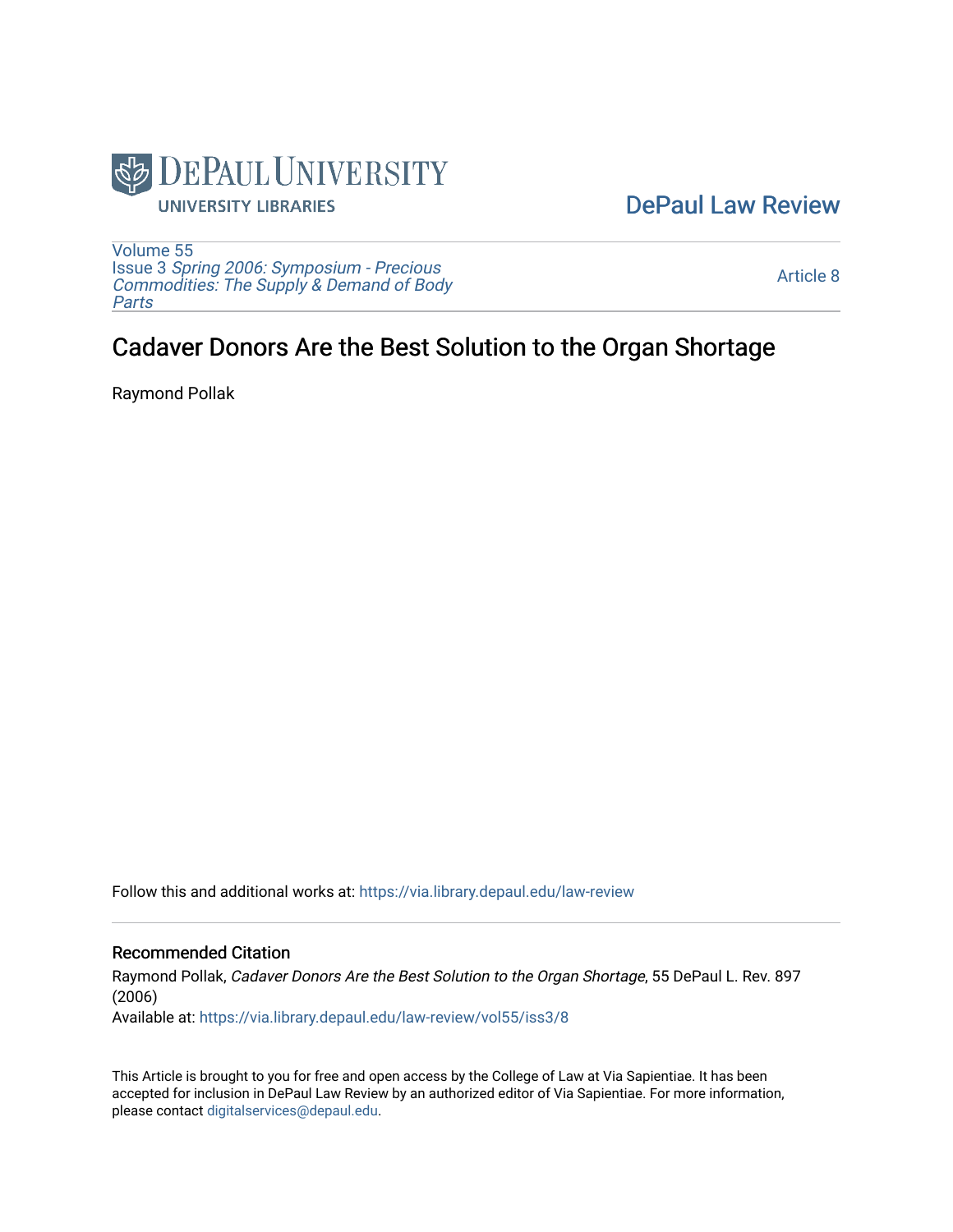

## [DePaul Law Review](https://via.library.depaul.edu/law-review)

[Volume 55](https://via.library.depaul.edu/law-review/vol55) Issue 3 [Spring 2006: Symposium - Precious](https://via.library.depaul.edu/law-review/vol55/iss3) [Commodities: The Supply & Demand of Body](https://via.library.depaul.edu/law-review/vol55/iss3) [Parts](https://via.library.depaul.edu/law-review/vol55/iss3)

[Article 8](https://via.library.depaul.edu/law-review/vol55/iss3/8) 

# Cadaver Donors Are the Best Solution to the Organ Shortage

Raymond Pollak

Follow this and additional works at: [https://via.library.depaul.edu/law-review](https://via.library.depaul.edu/law-review?utm_source=via.library.depaul.edu%2Flaw-review%2Fvol55%2Fiss3%2F8&utm_medium=PDF&utm_campaign=PDFCoverPages) 

#### Recommended Citation

Raymond Pollak, Cadaver Donors Are the Best Solution to the Organ Shortage, 55 DePaul L. Rev. 897 (2006)

Available at: [https://via.library.depaul.edu/law-review/vol55/iss3/8](https://via.library.depaul.edu/law-review/vol55/iss3/8?utm_source=via.library.depaul.edu%2Flaw-review%2Fvol55%2Fiss3%2F8&utm_medium=PDF&utm_campaign=PDFCoverPages) 

This Article is brought to you for free and open access by the College of Law at Via Sapientiae. It has been accepted for inclusion in DePaul Law Review by an authorized editor of Via Sapientiae. For more information, please contact [digitalservices@depaul.edu.](mailto:digitalservices@depaul.edu)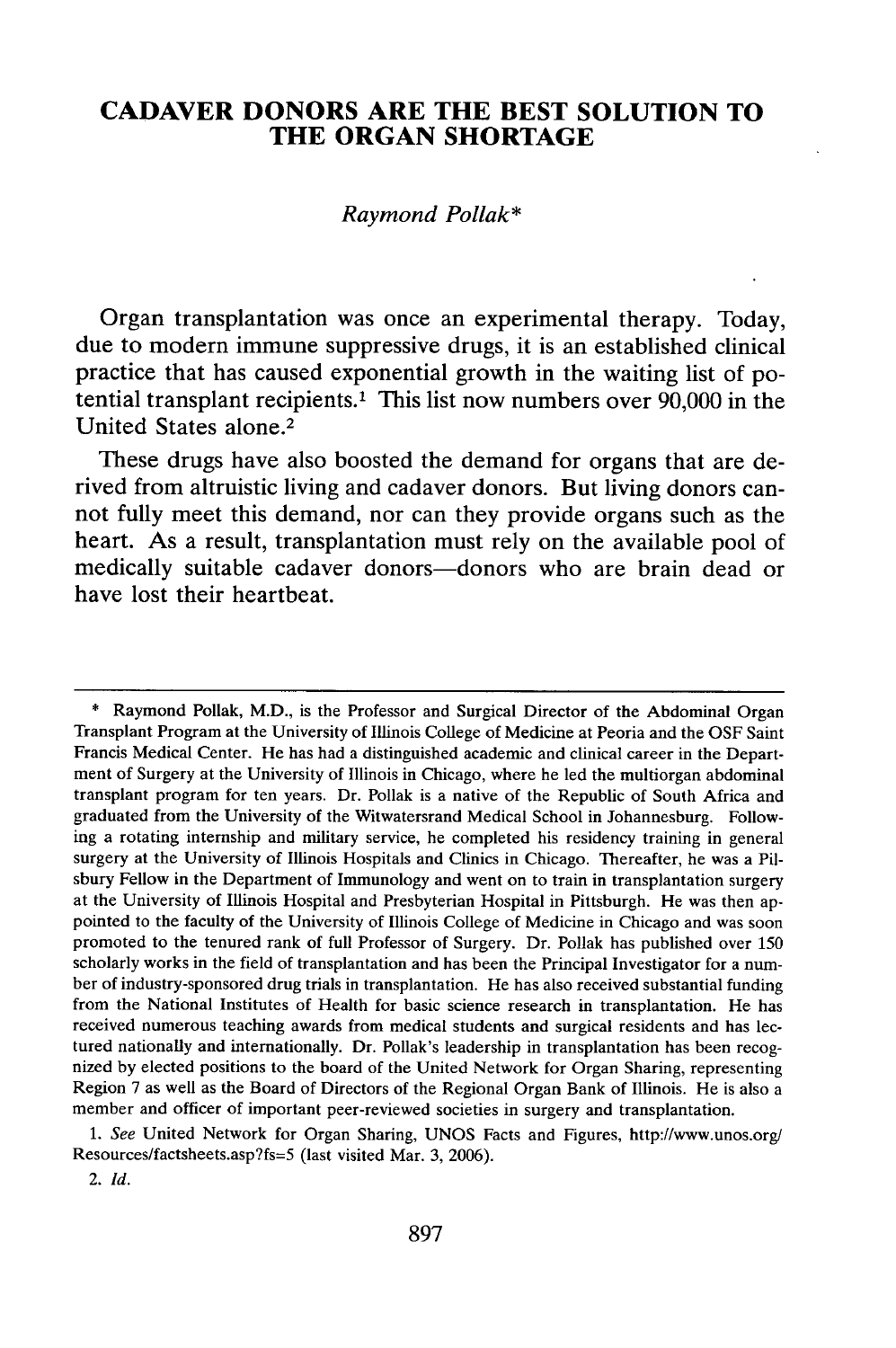### **CADAVER DONORS ARE THE BEST SOLUTION TO THE ORGAN SHORTAGE**

#### *Raymond Pollak\**

Organ transplantation was once an experimental therapy. Today, due to modern immune suppressive drugs, it is an established clinical practice that has caused exponential growth in the waiting list of potential transplant recipients.' This list now numbers over **90,000** in the United States alone.<sup>2</sup>

These drugs have also boosted the demand for organs that are derived from altruistic living and cadaver donors. But living donors cannot fully meet this demand, nor can they provide organs such as the heart. As a result, transplantation must rely on the available pool of medically suitable cadaver donors-donors who are brain dead or have lost their heartbeat.

\* Raymond Pollak, M.D., is the Professor and Surgical Director of the Abdominal Organ Transplant Program at the University of Illinois College of Medicine at Peoria and the OSF Saint Francis Medical Center. He has had a distinguished academic and clinical career in the Department of Surgery at the University of Illinois in Chicago, where he led the multiorgan abdominal transplant program for ten years. Dr. Pollak is a native of the Republic of South Africa and graduated from the University of the Witwatersrand Medical School in Johannesburg. Following a rotating internship and military service, he completed his residency training in general surgery at the University of Illinois Hospitals and Clinics in Chicago. Thereafter, he was a Pilsbury Fellow in the Department of Immunology and went on to train in transplantation surgery at the University of Illinois Hospital and Presbyterian Hospital in Pittsburgh. He was then appointed to the faculty of the University of Illinois College of Medicine in Chicago and was soon promoted to the tenured rank of full Professor of Surgery. Dr. Pollak has published over 150 scholarly works in the field of transplantation and has been the Principal Investigator for a number of industry-sponsored drug trials in transplantation. He has also received substantial funding from the National Institutes of Health for basic science research in transplantation. He has received numerous teaching awards from medical students and surgical residents and has lectured nationally and internationally. Dr. Pollak's leadership in transplantation has been recognized by elected positions to the board of the United Network for Organ Sharing, representing Region 7 as well as the Board of Directors of the Regional Organ Bank of Illinois. He is also a member and officer of important peer-reviewed societies in surgery and transplantation.

*1. See* United Network for Organ Sharing, UNOS Facts and Figures, http://www.unos.org/ Resources/factsheets.asp?fs=5 (last visited Mar. 3, 2006).

<sup>2.</sup> *Id.*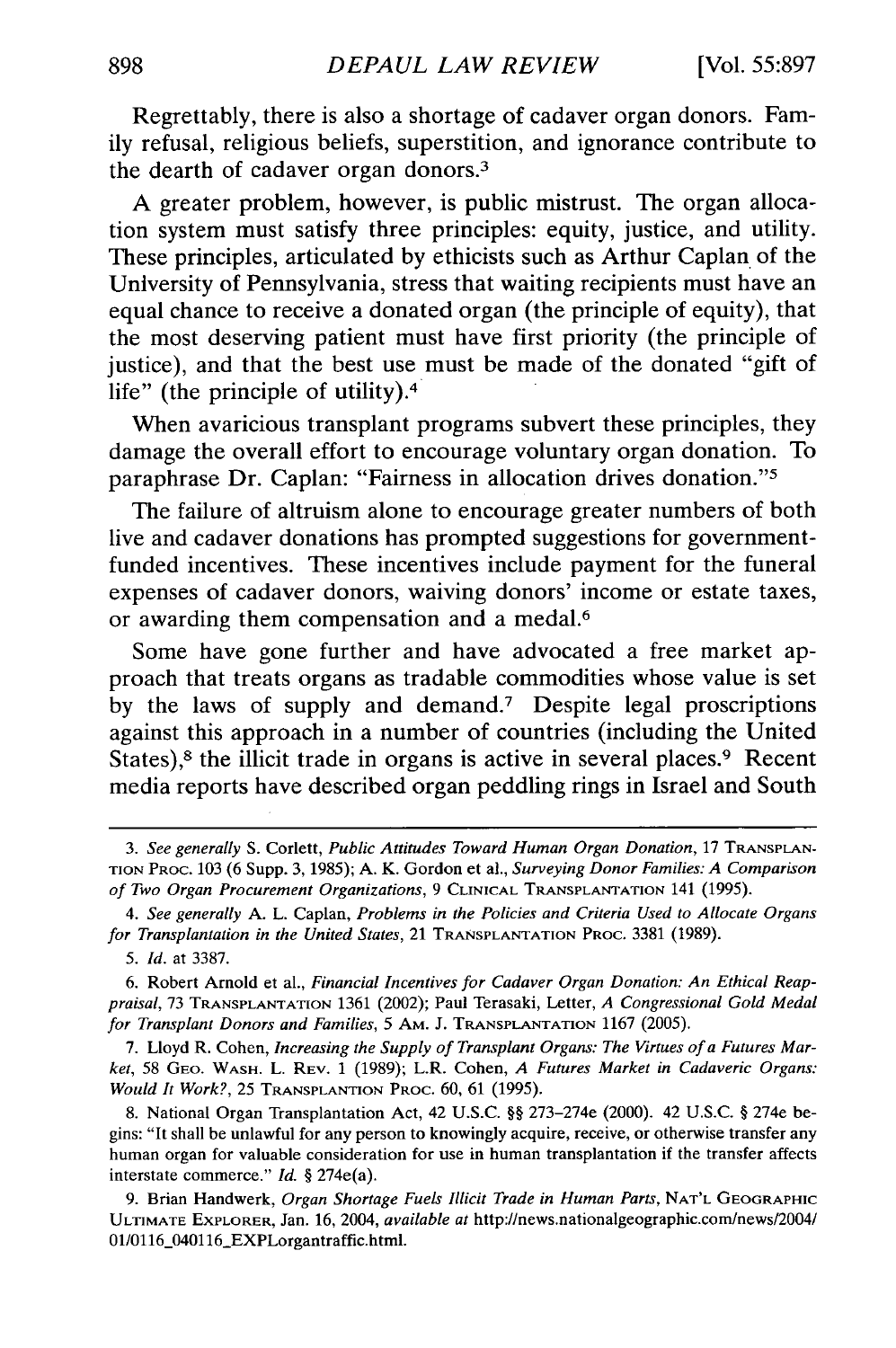Regrettably, there is also a shortage of cadaver organ donors. Family refusal, religious beliefs, superstition, and ignorance contribute to the dearth of cadaver organ donors.<sup>3</sup>

A greater problem, however, is public mistrust. The organ allocation system must satisfy three principles: equity, justice, and utility. These principles, articulated by ethicists such as Arthur Caplan of the University of Pennsylvania, stress that waiting recipients must have an equal chance to receive a donated organ (the principle of equity), that the most deserving patient must have first priority (the principle of justice), and that the best use must be made of the donated "gift of life" (the principle of utility).<sup>4</sup>

When avaricious transplant programs subvert these principles, they damage the overall effort to encourage voluntary organ donation. To paraphrase Dr. Caplan: "Fairness in allocation drives donation."<sup>5</sup>

The failure of altruism alone to encourage greater numbers of both live and cadaver donations has prompted suggestions for governmentfunded incentives. These incentives include payment for the funeral expenses of cadaver donors, waiving donors' income or estate taxes, or awarding them compensation and a medal.<sup>6</sup>

Some have gone further and have advocated a free market approach that treats organs as tradable commodities whose value is set by the laws of supply and demand.7 Despite legal proscriptions against this approach in a number of countries (including the United States),<sup>8</sup> the illicit trade in organs is active in several places.<sup>9</sup> Recent media reports have described organ peddling rings in Israel and South

7. Lloyd R. Cohen, *Increasing the Supply of Transplant Organs: The Virtues of a Futures Market,* 58 GEO. WASH. L. REV. 1 (1989); L.R. Cohen, *A Futures Market in Cadaveric Organs: Would It Work?,* 25 **TRANSPLANTION** PROC. 60, 61 (1995).

8. National Organ Transplantation Act, 42 U.S.C. §§ 273-274e (2000). 42 U.S.C. § 274e begins: "It shall be unlawful for any person to knowingly acquire, receive, or otherwise transfer any human organ for valuable consideration for use in human transplantation if the transfer affects interstate commerce." *Id.* § 274e(a).

*<sup>3.</sup> See generally* **S.** Corlett, *Public Attitudes Toward Human Organ Donation,* 17 **TRANSPLAN-**TION PROC. 103 (6 Supp. 3, 1985); A. K. Gordon et a]., *Surveying Donor Families: A Comparison of Two Organ Procurement Organizations,* 9 CLINICAL TRANSPLANTATION 141 (1995).

*<sup>4.</sup> See generally* A. L. Caplan, *Problems in the Policies and Criteria Used to Allocate Organs for Transplantation in the United States,* 21 TRANSPLANTATION PROC. 3381 (1989).

*<sup>5.</sup> Id.* at 3387.

<sup>6.</sup> Robert Arnold et al., *Financial Incentives for Cadaver Organ Donation: An Ethical Reappraisal,* 73 **TRANSPLANTATION** 1361 (2002); Paul Terasaki, Letter, *A Congressional Gold Medal for Transplant Donors and Families,* 5 AM. J. TRANSPLANTATION 1167 (2005).

<sup>9.</sup> Brian Handwerk, *Organ Shortage Fuels Illicit Trade in Human Parts,* **NAT'L** GEOGRAPHIC ULTIMATE EXPLORER, Jan. 16, 2004, *available at* http://news.nationalgeographic.com/news/2004/ 01/0116\_040116\_EXPLorgantraffic.html.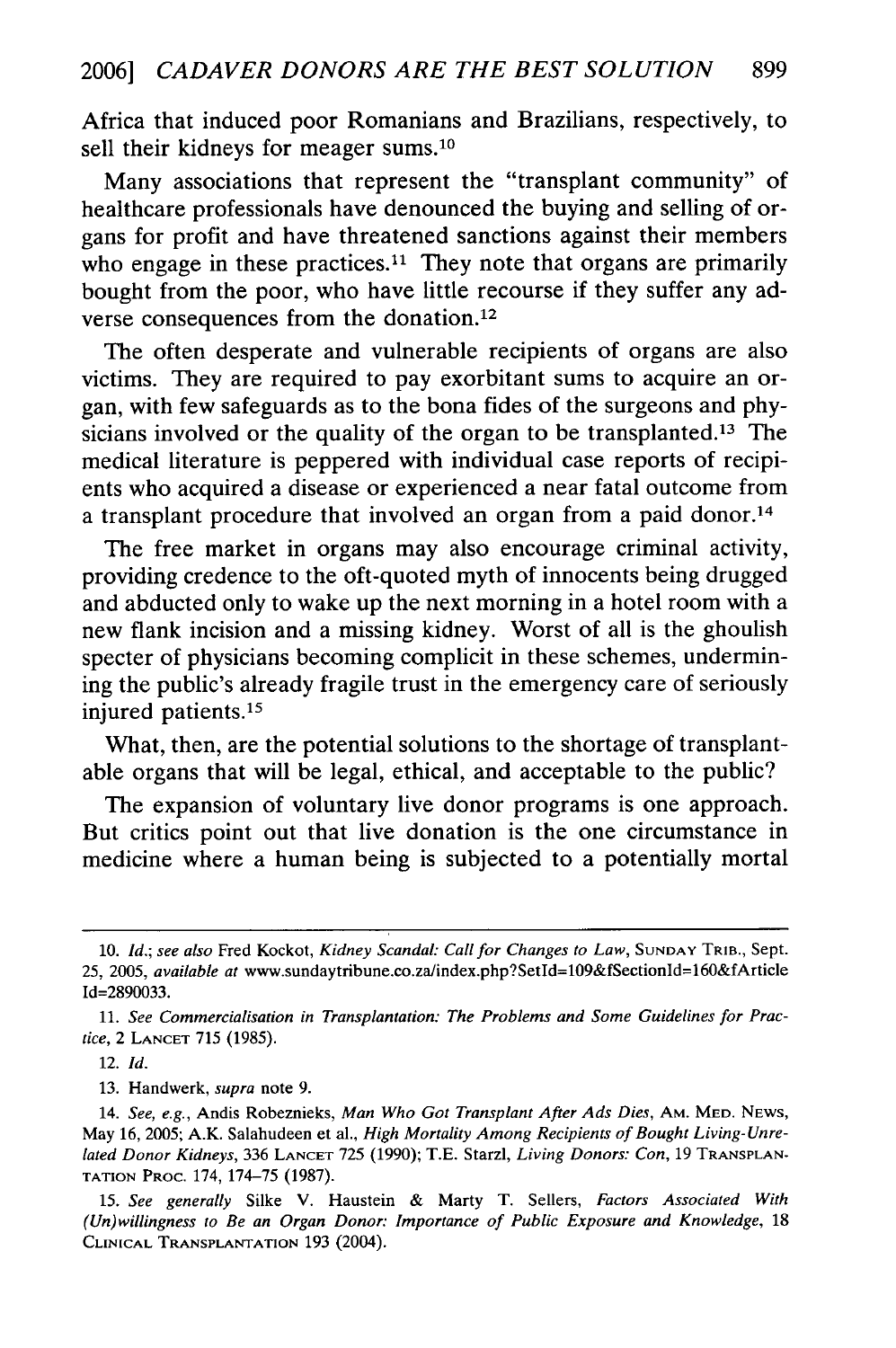Africa that induced poor Romanians and Brazilians, respectively, to sell their kidneys for meager sums.10

Many associations that represent the "transplant community" of healthcare professionals have denounced the buying and selling of organs for profit and have threatened sanctions against their members who engage in these practices.<sup>11</sup> They note that organs are primarily bought from the poor, who have little recourse if they suffer any adverse consequences from the donation.<sup>12</sup>

The often desperate and vulnerable recipients of organs are also victims. They are required to pay exorbitant sums to acquire an organ, with few safeguards as to the bona fides of the surgeons and physicians involved or the quality of the organ to be transplanted.<sup>13</sup> The medical literature is peppered with individual case reports of recipients who acquired a disease or experienced a near fatal outcome from a transplant procedure that involved an organ from a paid donor.<sup>14</sup>

The free market in organs may also encourage criminal activity, providing credence to the oft-quoted myth of innocents being drugged and abducted only to wake up the next morning in a hotel room with a new flank incision and a missing kidney. Worst of all is the ghoulish specter of physicians becoming complicit in these schemes, undermining the public's already fragile trust in the emergency care of seriously injured patients.<sup>15</sup>

What, then, are the potential solutions to the shortage of transplantable organs that will be legal, ethical, and acceptable to the public?

The expansion of voluntary live donor programs is one approach. But critics point out that live donation is the one circumstance in medicine where a human being is subjected to a potentially mortal

12. *Id.*

**<sup>10.</sup>** *Id.; see also* Fred Kockot, *Kidney Scandal: Call for Changes to Law,* **SUNDAY** TRIB., Sept. 25, 2005, *available at* www.sundaytribune.co.za/index.php?Setld=109&fSectionId=160&fArticle Id=2890033.

<sup>11.</sup> *See Commercialisation in Transplantation: The Problems and Some Guidelines for Practice,* 2 **LANCET** 715 (1985).

<sup>13.</sup> Handwerk, *supra* note 9.

<sup>14.</sup> *See, e.g.,* Andis Robeznieks, *Man Who Got Transplant After Ads Dies,* **AM.** MED. **NEWS,** May 16, 2005; A.K. Salahudeen et al., *High Mortality Among Recipients of Bought Living- Unrelated Donor Kidneys,* 336 **LANCET** 725 (1990); T.E. Starzl, *Living Donors: Con,* 19 **TRANSPLAN-TATION** PROC. 174, 174-75 (1987).

*<sup>15.</sup> See generally* Silke V. Haustein & Marty T. Sellers, *Factors Associated With (Un)willingness to Be an Organ Donor: Importance of Public Exposure and Knowledge, 18* **CLINICAL TRANSPLANTATION 193** (2004).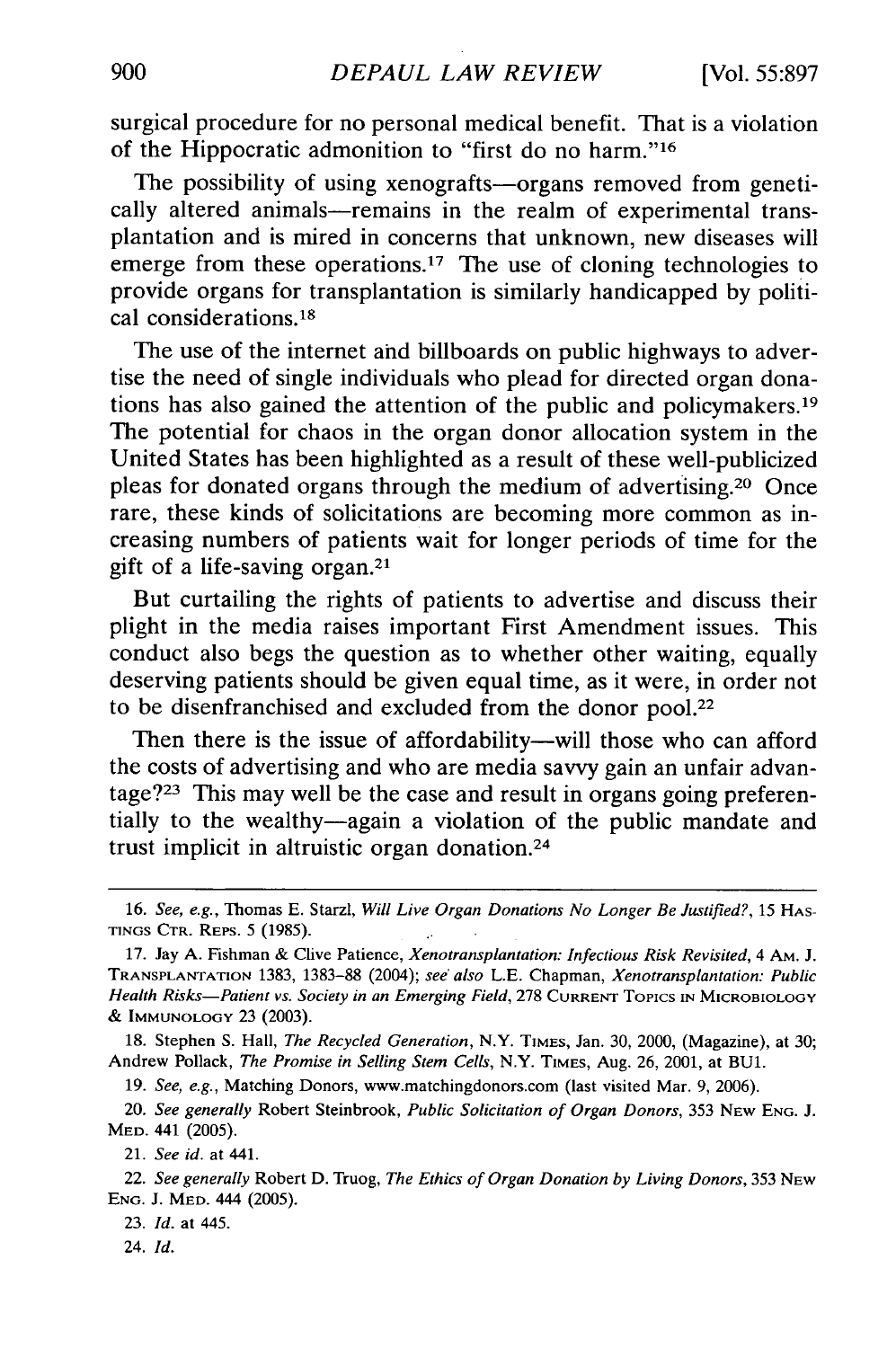surgical procedure for no personal medical benefit. That is a violation of the Hippocratic admonition to "first do no harm."<sup>16</sup>

The possibility of using xenografts—organs removed from genetically altered animals—remains in the realm of experimental transplantation and is mired in concerns that unknown, new diseases will emerge from these operations.<sup>17</sup> The use of cloning technologies to provide organs for transplantation is similarly handicapped by political considerations. <sup>18</sup>

The use of the internet and billboards on public highways to advertise the need of single individuals who plead for directed organ donations has also gained the attention of the public and policymakers. <sup>19</sup> The potential for chaos in the organ donor allocation system in the United States has been highlighted as a result of these well-publicized pleas for donated organs through the medium of advertising. 20 Once rare, these kinds of solicitations are becoming more common as increasing numbers of patients wait for longer periods of time for the gift of a life-saving organ.<sup>21</sup>

But curtailing the rights of patients to advertise and discuss their plight in the media raises important First Amendment issues. This conduct also begs the question as to whether other waiting, equally deserving patients should be given equal time, as it were, in order not to be disenfranchised and excluded from the donor pool.22

Then there is the issue of affordability—will those who can afford the costs of advertising and who are media savvy gain an unfair advantage? $2<sup>23</sup>$  This may well be the case and result in organs going preferentially to the wealthy-again a violation of the public mandate and trust implicit in altruistic organ donation. <sup>24</sup>

19. *See, e.g.,* Matching Donors, www.matchingdonors.com (last visited Mar. 9, 2006).

20. *See generally* Robert Steinbrook, *Public Solicitation of Organ Donors,* 353 NEW **ENG.** J. MED. 441 (2005).

21. *See id.* at 441.

23. *Id.* at 445.

24. *Id.*

<sup>16.</sup> See, *e.g.,* Thomas E. Starzl, *Will Live Organ Donations No Longer Be Justified?,* 15 **HAS-TINGS** CTR. REPS. 5 (1985).

<sup>17.</sup> Jay A. Fishman & Clive Patience, *Xenotransplantation: Infectious Risk Revisited,* 4 AM. J. **TRANSPLANTATION** 1383, 1383-88 (2004); *see also* L.E. Chapman, *Xenotransplantation: Public Health Risks-Patient vs. Society in an Emerging Field,* 278 CURRENT Topics IN MICROBIOLOGY & IMMUNOLOGY 23 (2003).

<sup>18.</sup> Stephen **S.** Hall, *The Recycled Generation,* N.Y. **TIMES,** Jan. 30, 2000, (Magazine), at 30; Andrew Pollack, *The Promise in Selling Stem Cells,* N.Y. TIMES, Aug. 26, 2001, at BUL.

<sup>22.</sup> *See generally* Robert D. Truog, *The Ethics of Organ Donation by Living Donors,* 353 **NEW ENG.** J. MED. 444 (2005).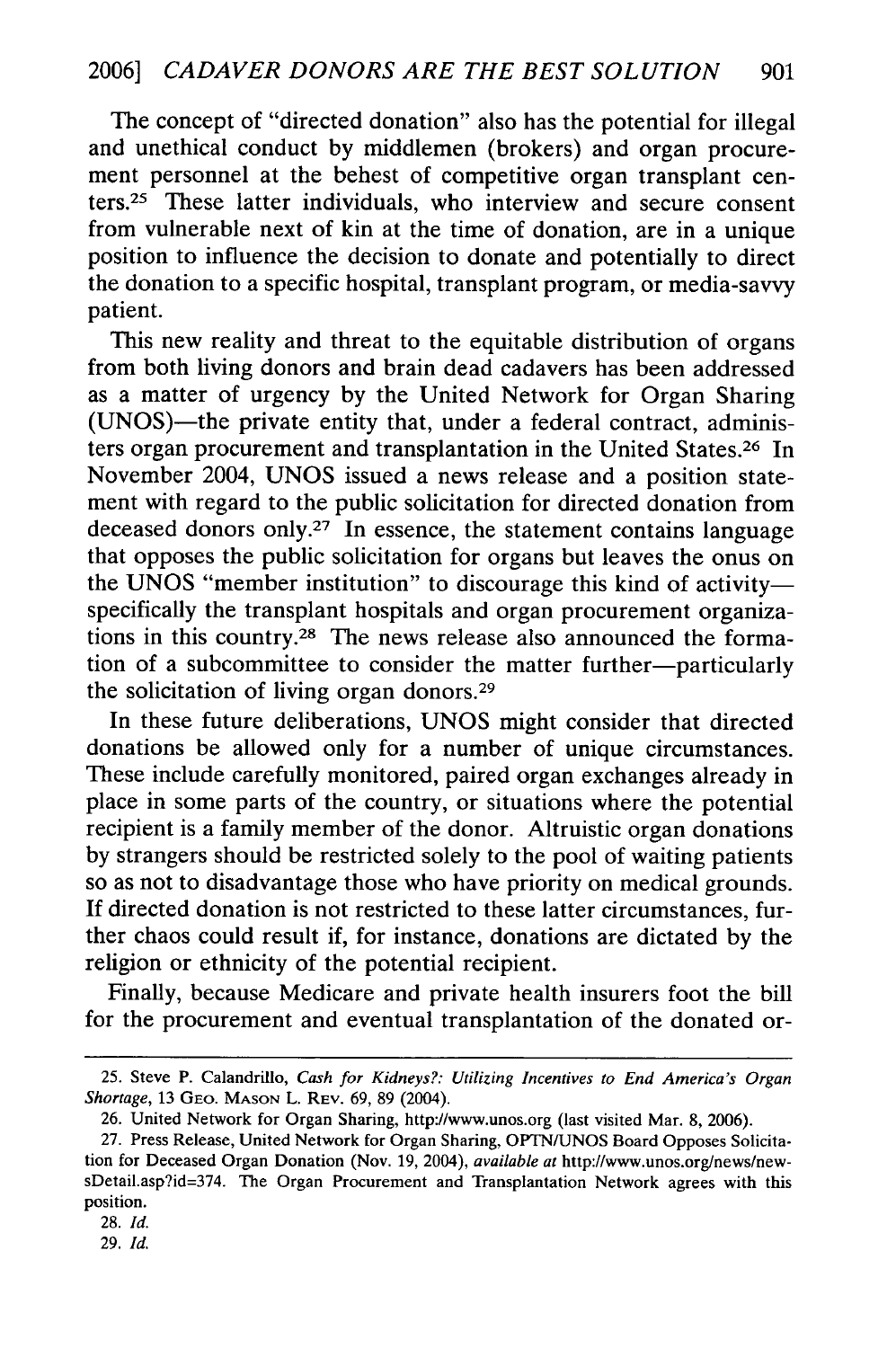The concept of "directed donation" also has the potential for illegal and unethical conduct by middlemen (brokers) and organ procurement personnel at the behest of competitive organ transplant centers. 25 These latter individuals, who interview and secure consent from vulnerable next of kin at the time of donation, are in a unique position to influence the decision to donate and potentially to direct the donation to a specific hospital, transplant program, or media-savvy patient.

This new reality and threat to the equitable distribution of organs from both living donors and brain dead cadavers has been addressed as a matter of urgency by the United Network for Organ Sharing (UNOS)—the private entity that, under a federal contract, administers organ procurement and transplantation in the United States.<sup>26</sup> In November 2004, UNOS issued a news release and a position statement with regard to the public solicitation for directed donation from deceased donors only.<sup>27</sup> In essence, the statement contains language that opposes the public solicitation for organs but leaves the onus on the UNOS "member institution" to discourage this kind of activityspecifically the transplant hospitals and organ procurement organizations in this country.28 The news release also announced the formation of a subcommittee to consider the matter further-particularly the solicitation of living organ donors.<sup>29</sup>

In these future deliberations, UNOS might consider that directed donations be allowed only for a number of unique circumstances. These include carefully monitored, paired organ exchanges already in place in some parts of the country, or situations where the potential recipient is a family member of the donor. Altruistic organ donations by strangers should be restricted solely to the pool of waiting patients so as not to disadvantage those who have priority on medical grounds. If directed donation is not restricted to these latter circumstances, further chaos could result if, for instance, donations are dictated by the religion or ethnicity of the potential recipient.

Finally, because Medicare and private health insurers foot the bill for the procurement and eventual transplantation of the donated or-

<sup>25.</sup> Steve P. Calandrillo, *Cash for Kidneys?: Utilizing Incentives to End America's Organ Shortage,* 13 **GEO. MASON** L. REV. 69, 89 (2004).

<sup>26.</sup> United Network for Organ Sharing, http://www.unos.org (last visited Mar. 8, 2006).

<sup>27.</sup> Press Release, United Network for Organ Sharing, OPTNIUNOS Board Opposes Solicitation for Deceased Organ Donation (Nov. 19, 2004), *available at* http://www.unos.org/news/newsDetail.asp?id=374. The Organ Procurement and Transplantation Network agrees with this position.

<sup>28.</sup> *Id.*

<sup>29.</sup> *Id.*